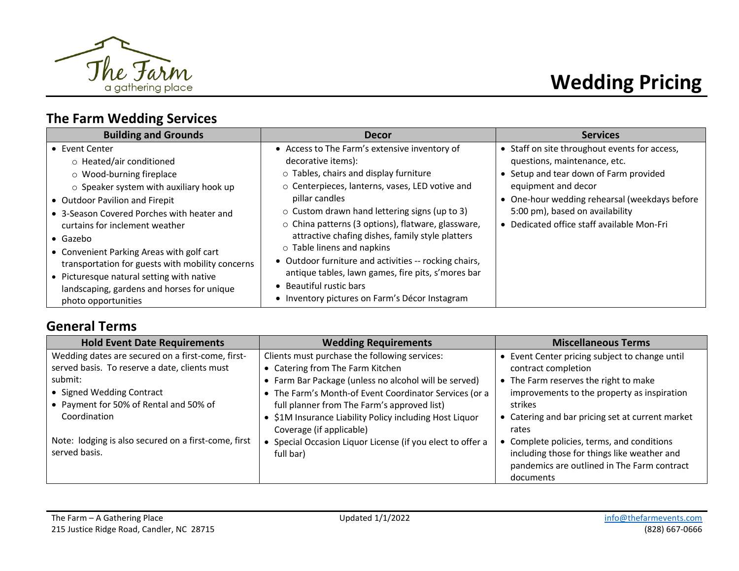

# **Wedding Pricing**

# **The Farm Wedding Services**

# **General Terms**

| <b>Hold Event Date Requirements</b>                  | <b>Wedding Requirements</b>                                                         | <b>Miscellaneous Terms</b>                              |
|------------------------------------------------------|-------------------------------------------------------------------------------------|---------------------------------------------------------|
| Wedding dates are secured on a first-come, first-    | Clients must purchase the following services:                                       | Event Center pricing subject to change until            |
| served basis. To reserve a date, clients must        | • Catering from The Farm Kitchen                                                    | contract completion                                     |
| submit:                                              | • Farm Bar Package (unless no alcohol will be served)                               | • The Farm reserves the right to make                   |
| • Signed Wedding Contract                            | • The Farm's Month-of Event Coordinator Services (or a                              | improvements to the property as inspiration             |
| • Payment for 50% of Rental and 50% of               | full planner from The Farm's approved list)                                         | strikes                                                 |
| Coordination                                         | • \$1M Insurance Liability Policy including Host Liquor<br>Coverage (if applicable) | Catering and bar pricing set at current market<br>rates |
| Note: lodging is also secured on a first-come, first | • Special Occasion Liquor License (if you elect to offer a                          | Complete policies, terms, and conditions                |
| served basis.                                        | full bar)                                                                           | including those for things like weather and             |
|                                                      |                                                                                     | pandemics are outlined in The Farm contract             |
|                                                      |                                                                                     | documents                                               |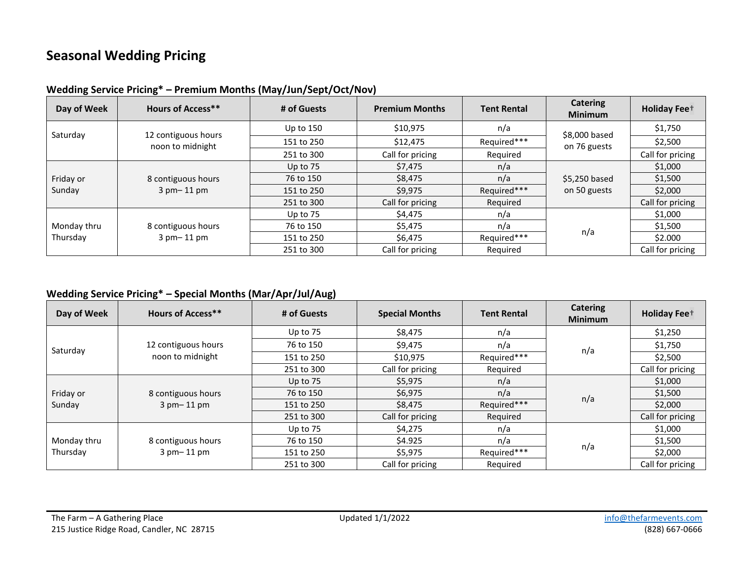# **Seasonal Wedding Pricing**

| Day of Week | <b>Hours of Access**</b>                                                       | # of Guests | <b>Premium Months</b> | <b>Catering</b><br><b>Tent Rental</b><br><b>Minimum</b> |                               | <b>Holiday Fee</b> <sup>+</sup> |
|-------------|--------------------------------------------------------------------------------|-------------|-----------------------|---------------------------------------------------------|-------------------------------|---------------------------------|
| Saturday    |                                                                                | Up to 150   | \$10,975              | n/a                                                     |                               | \$1,750                         |
|             | 12 contiguous hours<br>noon to midnight                                        | 151 to 250  | \$12,475              | Required***                                             | \$8,000 based<br>on 76 guests | \$2,500                         |
|             |                                                                                | 251 to 300  | Call for pricing      | Required                                                |                               | Call for pricing                |
|             |                                                                                | Up to $75$  | \$7,475               | n/a                                                     |                               | \$1,000                         |
| Friday or   | 8 contiguous hours<br>$3$ pm $-11$ pm                                          | 76 to 150   | \$8,475               | n/a                                                     | \$5,250 based                 | \$1,500                         |
| Sunday      |                                                                                | 151 to 250  | \$9,975               | Required***<br>on 50 guests                             |                               | \$2,000                         |
|             |                                                                                | 251 to 300  | Call for pricing      | Required                                                |                               | Call for pricing                |
|             |                                                                                | Up to $75$  | \$4,475               | n/a                                                     |                               | \$1,000                         |
| Monday thru | 76 to 150<br>8 contiguous hours<br>$3$ pm $-11$ pm<br>151 to 250<br>251 to 300 | \$5,475     | n/a                   |                                                         | \$1,500                       |                                 |
| Thursday    |                                                                                | \$6,475     | Required***           | n/a                                                     | \$2.000                       |                                 |
|             |                                                                                |             | Call for pricing      | Reguired                                                |                               | Call for pricing                |

**Wedding Service Pricing\* – Premium Months (May/Jun/Sept/Oct/Nov)**

#### **Wedding Service Pricing\* – Special Months (Mar/Apr/Jul/Aug)**

| Day of Week | <b>Hours of Access**</b>         | # of Guests | <b>Special Months</b><br><b>Tent Rental</b> |             | <b>Catering</b><br><b>Minimum</b> | <b>Holiday Fee</b> <sup>+</sup> |
|-------------|----------------------------------|-------------|---------------------------------------------|-------------|-----------------------------------|---------------------------------|
|             |                                  | Up to 75    | \$8,475                                     | n/a         |                                   | \$1,250                         |
| Saturday    | 12 contiguous hours              | 76 to 150   | \$9,475                                     | n/a         | n/a                               | \$1,750                         |
|             | noon to midnight                 | 151 to 250  | \$10,975                                    | Required*** |                                   | \$2,500                         |
|             |                                  | 251 to 300  | Call for pricing                            | Required    |                                   | Call for pricing                |
|             |                                  | Up to $75$  | \$5,975                                     | n/a         |                                   | \$1,000                         |
| Friday or   | 8 contiguous hours               | 76 to 150   | \$6,975                                     | n/a         |                                   | \$1,500                         |
| Sunday      | $3$ pm $-11$ pm                  | 151 to 250  | \$8,475                                     | Required*** | n/a                               | \$2,000                         |
|             |                                  | 251 to 300  | Call for pricing                            | Required    |                                   | Call for pricing                |
|             | 8 contiguous hours<br>3 pm-11 pm | Up to 75    | \$4,275                                     | n/a         |                                   | \$1,000                         |
| Monday thru |                                  | 76 to 150   | \$4.925                                     | n/a         |                                   | \$1,500                         |
| Thursday    |                                  | 151 to 250  | \$5,975                                     | Required*** | n/a                               | \$2,000                         |
|             |                                  | 251 to 300  | Call for pricing                            | Required    |                                   | Call for pricing                |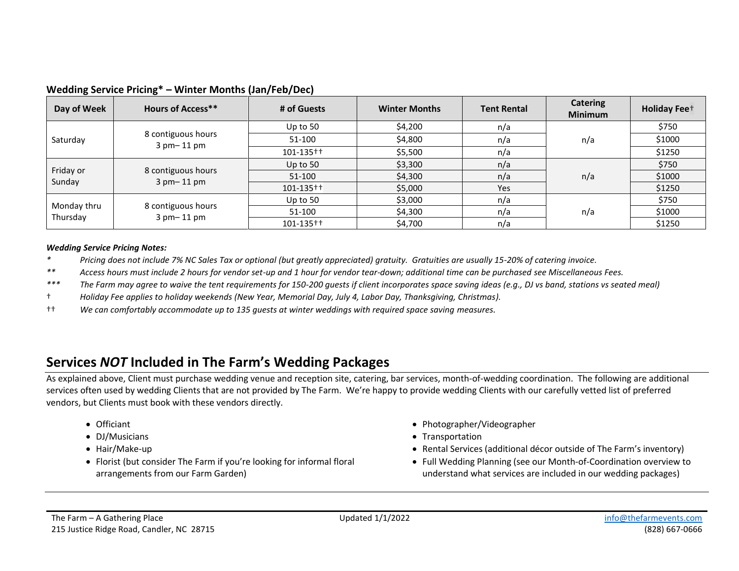| Day of Week             | <b>Hours of Access**</b>              | # of Guests     | <b>Winter Months</b><br><b>Tent Rental</b> |     | <b>Catering</b><br><b>Minimum</b> | <b>Holiday Fee</b> <sup>+</sup> |
|-------------------------|---------------------------------------|-----------------|--------------------------------------------|-----|-----------------------------------|---------------------------------|
|                         |                                       | Up to $50$      | \$4,200                                    | n/a |                                   | \$750                           |
| Saturday                | 8 contiguous hours<br>$3$ pm $-11$ pm | 51-100          | \$4,800                                    | n/a | n/a                               | \$1000                          |
|                         |                                       | $101 - 135 + +$ | \$5,500                                    | n/a |                                   | \$1250                          |
| Friday or               | 8 contiguous hours<br>$3$ pm $-11$ pm | Up to $50$      | \$3,300                                    | n/a |                                   | \$750                           |
| Sunday                  |                                       | 51-100          | \$4,300                                    | n/a | n/a                               | \$1000                          |
|                         |                                       | $101 - 135 +$   | \$5,000                                    | Yes |                                   | \$1250                          |
|                         | 8 contiguous hours<br>$3$ pm $-11$ pm | Up to $50$      | \$3,000                                    | n/a |                                   | \$750                           |
| Monday thru<br>Thursday |                                       | 51-100          | \$4,300                                    | n/a | n/a                               | \$1000                          |
|                         |                                       | 101-135++       | \$4,700                                    | n/a |                                   | \$1250                          |

#### **Wedding Service Pricing\* – Winter Months (Jan/Feb/Dec)**

#### *Wedding Service Pricing Notes:*

*\* Pricing does not include 7% NC Sales Tax or optional (but greatly appreciated) gratuity. Gratuities are usually 15-20% of catering invoice.*

*\*\* Access hours must include 2 hours for vendor set-up and 1 hour for vendor tear-down; additional time can be purchased see Miscellaneous Fees.*

- *\*\*\* The Farm may agree to waive the tent requirements for 150-200 guests if client incorporates space saving ideas (e.g., DJ vs band, stations vs seated meal)*
- † *Holiday Fee applies to holiday weekends (New Year, Memorial Day, July 4, Labor Day, Thanksgiving, Christmas).*

†† *We can comfortably accommodate up to 135 guests at winter weddings with required space saving measures.* 

### **Services** *NOT* **Included in The Farm's Wedding Packages**

As explained above, Client must purchase wedding venue and reception site, catering, bar services, month-of-wedding coordination. The following are additional services often used by wedding Clients that are not provided by The Farm. We're happy to provide wedding Clients with our carefully vetted list of preferred vendors, but Clients must book with these vendors directly.

- 
- 
- 
- Florist (but consider The Farm if you're looking for informal floral arrangements from our Farm Garden)
- Officiant Photographer/Videographer
- DJ/Musicians Transportation Transportation Transportation Transportation Transportation Transportation Transportation Transportation Transportation Transportation Transportation Transportation T
- Hair/Make-up The Farm's inventory in the services (additional decor outside of The Farm's inventory inventory
	- Full Wedding Planning (see our Month-of-Coordination overview to understand what services are included in our wedding packages)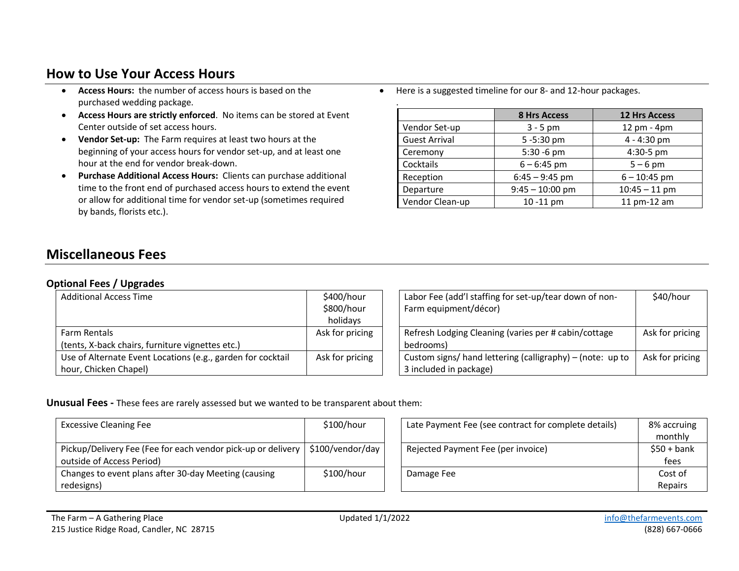## **How to Use Your Access Hours**

- **Access Hours:** the number of access hours is based on the purchased wedding package.
- **Access Hours are strictly enforced**. No items can be stored at Event Center outside of set access hours.
- **Vendor Set-up:** The Farm requires at least two hours at the beginning of your access hours for vendor set-up, and at least one hour at the end for vendor break-down.
- **Purchase Additional Access Hours:** Clients can purchase additional time to the front end of purchased access hours to extend the event or allow for additional time for vendor set-up (sometimes required by bands, florists etc.).

• Here is a suggested timeline for our 8- and 12-hour packages.

| ٠                    |                     |                      |
|----------------------|---------------------|----------------------|
|                      | <b>8 Hrs Access</b> | <b>12 Hrs Access</b> |
| Vendor Set-up        | $3 - 5$ pm          | 12 pm - 4pm          |
| <b>Guest Arrival</b> | 5-5:30 pm           | 4 - 4:30 pm          |
| Ceremony             | 5:30 -6 pm          | 4:30-5 pm            |
| Cocktails            | $6 - 6:45$ pm       | $5 - 6$ pm           |
| Reception            | $6:45 - 9:45$ pm    | $6 - 10:45$ pm       |
| Departure            | $9:45 - 10:00$ pm   | $10:45 - 11$ pm      |
| Vendor Clean-up      | 10 - 11 pm          | 11 pm-12 am          |

### **Miscellaneous Fees**

#### **Optional Fees / Upgrades**

| $\sim$                                                      |                                      |                                                                                 |                 |
|-------------------------------------------------------------|--------------------------------------|---------------------------------------------------------------------------------|-----------------|
| <b>Additional Access Time</b>                               | \$400/hour<br>\$800/hour<br>holidays | Labor Fee (add'I staffing for set-up/tear down of non-<br>Farm equipment/décor) | \$40/hour       |
| Farm Rentals                                                | Ask for pricing                      | Refresh Lodging Cleaning (varies per # cabin/cottage                            | Ask for pricing |
| (tents, X-back chairs, furniture vignettes etc.)            |                                      | bedrooms)                                                                       |                 |
| Use of Alternate Event Locations (e.g., garden for cocktail | Ask for pricing                      | Custom signs/ hand lettering (calligraphy) – (note: up to                       | Ask for pricing |
| hour, Chicken Chapel)                                       |                                      | 3 included in package)                                                          |                 |

#### **Unusual Fees -** These fees are rarely assessed but we wanted to be transparent about them:

| <b>Excessive Cleaning Fee</b>                                                                                  | \$100/hour | Late Payment Fee (see contract for complete details) | 8% accruing<br>monthly |
|----------------------------------------------------------------------------------------------------------------|------------|------------------------------------------------------|------------------------|
| Pickup/Delivery Fee (Fee for each vendor pick-up or delivery   \$100/vendor/day  <br>outside of Access Period) |            | Rejected Payment Fee (per invoice)                   | $$50 + bank$<br>fees   |
| Changes to event plans after 30-day Meeting (causing                                                           | \$100/hour | Damage Fee                                           | Cost of                |
| redesigns)                                                                                                     |            |                                                      | Repairs                |